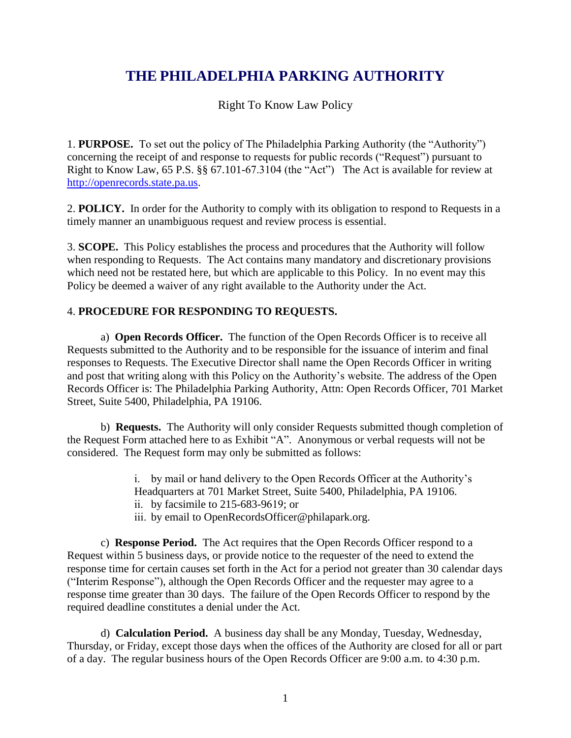## **THE PHILADELPHIA PARKING AUTHORITY**

Right To Know Law Policy

1. **PURPOSE.** To set out the policy of The Philadelphia Parking Authority (the "Authority") concerning the receipt of and response to requests for public records ("Request") pursuant to Right to Know Law, 65 P.S. §§ 67.101-67.3104 (the "Act") The Act is available for review at http://openrecords.state.pa.us.

2. **POLICY.** In order for the Authority to comply with its obligation to respond to Requests in a timely manner an unambiguous request and review process is essential.

3. **SCOPE.** This Policy establishes the process and procedures that the Authority will follow when responding to Requests. The Act contains many mandatory and discretionary provisions which need not be restated here, but which are applicable to this Policy. In no event may this Policy be deemed a waiver of any right available to the Authority under the Act.

## 4. **PROCEDURE FOR RESPONDING TO REQUESTS.**

a) **Open Records Officer.** The function of the Open Records Officer is to receive all Requests submitted to the Authority and to be responsible for the issuance of interim and final responses to Requests. The Executive Director shall name the Open Records Officer in writing and post that writing along with this Policy on the Authority's website. The address of the Open Records Officer is: The Philadelphia Parking Authority, Attn: Open Records Officer, 701 Market Street, Suite 5400, Philadelphia, PA 19106.

b) **Requests.** The Authority will only consider Requests submitted though completion of the Request Form attached here to as Exhibit "A". Anonymous or verbal requests will not be considered. The Request form may only be submitted as follows:

> i. by mail or hand delivery to the Open Records Officer at the Authority's Headquarters at 701 Market Street, Suite 5400, Philadelphia, PA 19106. ii. by facsimile to 215-683-9619; or iii. by email to OpenRecordsOfficer@philapark.org.

c) **Response Period.** The Act requires that the Open Records Officer respond to a Request within 5 business days, or provide notice to the requester of the need to extend the response time for certain causes set forth in the Act for a period not greater than 30 calendar days ("Interim Response"), although the Open Records Officer and the requester may agree to a response time greater than 30 days. The failure of the Open Records Officer to respond by the required deadline constitutes a denial under the Act.

d) **Calculation Period.** A business day shall be any Monday, Tuesday, Wednesday, Thursday, or Friday, except those days when the offices of the Authority are closed for all or part of a day. The regular business hours of the Open Records Officer are 9:00 a.m. to 4:30 p.m.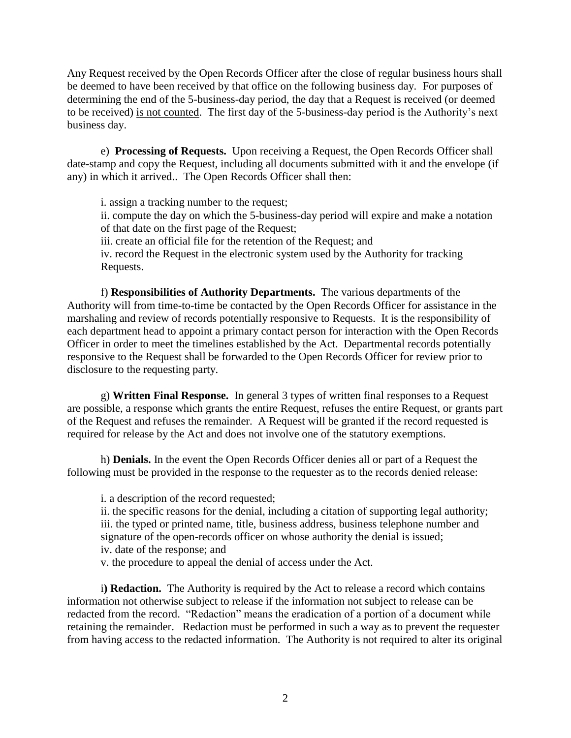Any Request received by the Open Records Officer after the close of regular business hours shall be deemed to have been received by that office on the following business day. For purposes of determining the end of the 5-business-day period, the day that a Request is received (or deemed to be received) is not counted. The first day of the 5-business-day period is the Authority's next business day.

e) **Processing of Requests.** Upon receiving a Request, the Open Records Officer shall date-stamp and copy the Request, including all documents submitted with it and the envelope (if any) in which it arrived.. The Open Records Officer shall then:

i. assign a tracking number to the request; ii. compute the day on which the 5-business-day period will expire and make a notation of that date on the first page of the Request; iii. create an official file for the retention of the Request; and iv. record the Request in the electronic system used by the Authority for tracking Requests.

f) **Responsibilities of Authority Departments.** The various departments of the Authority will from time-to-time be contacted by the Open Records Officer for assistance in the marshaling and review of records potentially responsive to Requests. It is the responsibility of each department head to appoint a primary contact person for interaction with the Open Records Officer in order to meet the timelines established by the Act. Departmental records potentially responsive to the Request shall be forwarded to the Open Records Officer for review prior to disclosure to the requesting party.

g) **Written Final Response.** In general 3 types of written final responses to a Request are possible, a response which grants the entire Request, refuses the entire Request, or grants part of the Request and refuses the remainder. A Request will be granted if the record requested is required for release by the Act and does not involve one of the statutory exemptions.

h) **Denials.** In the event the Open Records Officer denies all or part of a Request the following must be provided in the response to the requester as to the records denied release:

i. a description of the record requested;

ii. the specific reasons for the denial, including a citation of supporting legal authority; iii. the typed or printed name, title, business address, business telephone number and signature of the open-records officer on whose authority the denial is issued; iv. date of the response; and

v. the procedure to appeal the denial of access under the Act.

i**) Redaction.** The Authority is required by the Act to release a record which contains information not otherwise subject to release if the information not subject to release can be redacted from the record. "Redaction" means the eradication of a portion of a document while retaining the remainder. Redaction must be performed in such a way as to prevent the requester from having access to the redacted information. The Authority is not required to alter its original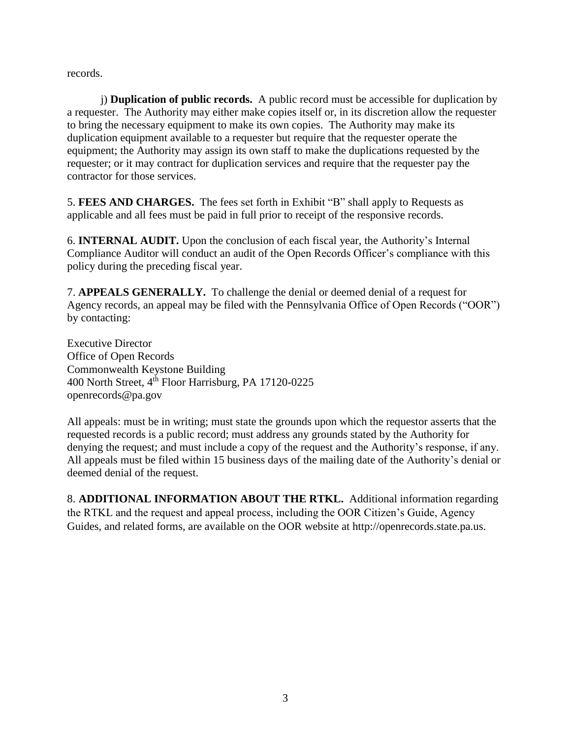records.

j) **Duplication of public records.** A public record must be accessible for duplication by a requester. The Authority may either make copies itself or, in its discretion allow the requester to bring the necessary equipment to make its own copies. The Authority may make its duplication equipment available to a requester but require that the requester operate the equipment; the Authority may assign its own staff to make the duplications requested by the requester; or it may contract for duplication services and require that the requester pay the contractor for those services.

5. **FEES AND CHARGES.** The fees set forth in Exhibit "B" shall apply to Requests as applicable and all fees must be paid in full prior to receipt of the responsive records.

6. **INTERNAL AUDIT.** Upon the conclusion of each fiscal year, the Authority's Internal Compliance Auditor will conduct an audit of the Open Records Officer's compliance with this policy during the preceding fiscal year.

7. **APPEALS GENERALLY.** To challenge the denial or deemed denial of a request for Agency records, an appeal may be filed with the Pennsylvania Office of Open Records ("OOR") by contacting:

Executive Director Office of Open Records Commonwealth Keystone Building 400 North Street, 4th Floor Harrisburg, PA 17120-0225 openrecords@pa.gov

All appeals: must be in writing; must state the grounds upon which the requestor asserts that the requested records is a public record; must address any grounds stated by the Authority for denying the request; and must include a copy of the request and the Authority's response, if any. All appeals must be filed within 15 business days of the mailing date of the Authority's denial or deemed denial of the request.

8. **ADDITIONAL INFORMATION ABOUT THE RTKL.** Additional information regarding the RTKL and the request and appeal process, including the OOR Citizen's Guide, Agency Guides, and related forms, are available on the OOR website at http://openrecords.state.pa.us.